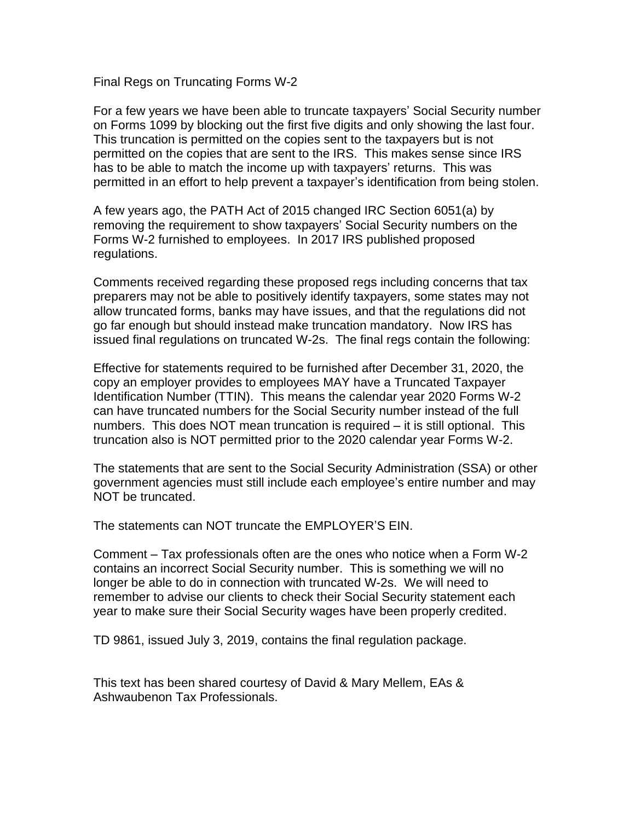Final Regs on Truncating Forms W-2

For a few years we have been able to truncate taxpayers' Social Security number on Forms 1099 by blocking out the first five digits and only showing the last four. This truncation is permitted on the copies sent to the taxpayers but is not permitted on the copies that are sent to the IRS. This makes sense since IRS has to be able to match the income up with taxpayers' returns. This was permitted in an effort to help prevent a taxpayer's identification from being stolen.

A few years ago, the PATH Act of 2015 changed IRC Section 6051(a) by removing the requirement to show taxpayers' Social Security numbers on the Forms W-2 furnished to employees. In 2017 IRS published proposed regulations.

Comments received regarding these proposed regs including concerns that tax preparers may not be able to positively identify taxpayers, some states may not allow truncated forms, banks may have issues, and that the regulations did not go far enough but should instead make truncation mandatory. Now IRS has issued final regulations on truncated W-2s. The final regs contain the following:

Effective for statements required to be furnished after December 31, 2020, the copy an employer provides to employees MAY have a Truncated Taxpayer Identification Number (TTIN). This means the calendar year 2020 Forms W-2 can have truncated numbers for the Social Security number instead of the full numbers. This does NOT mean truncation is required – it is still optional. This truncation also is NOT permitted prior to the 2020 calendar year Forms W-2.

The statements that are sent to the Social Security Administration (SSA) or other government agencies must still include each employee's entire number and may NOT be truncated.

The statements can NOT truncate the EMPLOYER'S EIN.

Comment – Tax professionals often are the ones who notice when a Form W-2 contains an incorrect Social Security number. This is something we will no longer be able to do in connection with truncated W-2s. We will need to remember to advise our clients to check their Social Security statement each year to make sure their Social Security wages have been properly credited.

TD 9861, issued July 3, 2019, contains the final regulation package.

This text has been shared courtesy of David & Mary Mellem, EAs & Ashwaubenon Tax Professionals.